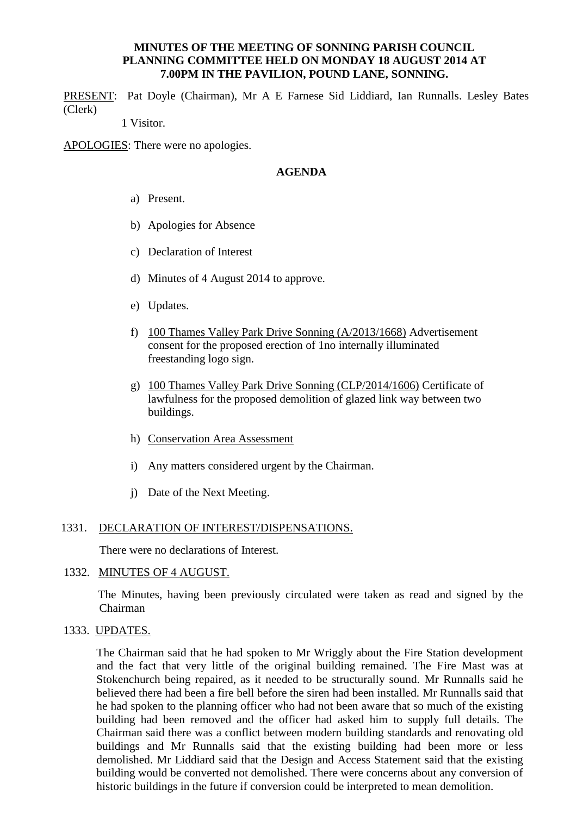# **MINUTES OF THE MEETING OF SONNING PARISH COUNCIL PLANNING COMMITTEE HELD ON MONDAY 18 AUGUST 2014 AT 7.00PM IN THE PAVILION, POUND LANE, SONNING.**

PRESENT: Pat Doyle (Chairman), Mr A E Farnese Sid Liddiard, Ian Runnalls. Lesley Bates (Clerk)

1 Visitor.

APOLOGIES: There were no apologies.

# **AGENDA**

- a) Present.
- b) Apologies for Absence
- c) Declaration of Interest
- d) Minutes of 4 August 2014 to approve.
- e) Updates.
- f) 100 Thames Valley Park Drive Sonning (A/2013/1668) Advertisement consent for the proposed erection of 1no internally illuminated freestanding logo sign.
- g) 100 Thames Valley Park Drive Sonning (CLP/2014/1606) Certificate of lawfulness for the proposed demolition of glazed link way between two buildings.
- h) Conservation Area Assessment
- i) Any matters considered urgent by the Chairman.
- j) Date of the Next Meeting.

#### 1331. DECLARATION OF INTEREST/DISPENSATIONS.

There were no declarations of Interest.

#### 1332. MINUTES OF 4 AUGUST.

 The Minutes, having been previously circulated were taken as read and signed by the Chairman

1333. UPDATES.

The Chairman said that he had spoken to Mr Wriggly about the Fire Station development and the fact that very little of the original building remained. The Fire Mast was at Stokenchurch being repaired, as it needed to be structurally sound. Mr Runnalls said he believed there had been a fire bell before the siren had been installed. Mr Runnalls said that he had spoken to the planning officer who had not been aware that so much of the existing building had been removed and the officer had asked him to supply full details. The Chairman said there was a conflict between modern building standards and renovating old buildings and Mr Runnalls said that the existing building had been more or less demolished. Mr Liddiard said that the Design and Access Statement said that the existing building would be converted not demolished. There were concerns about any conversion of historic buildings in the future if conversion could be interpreted to mean demolition.